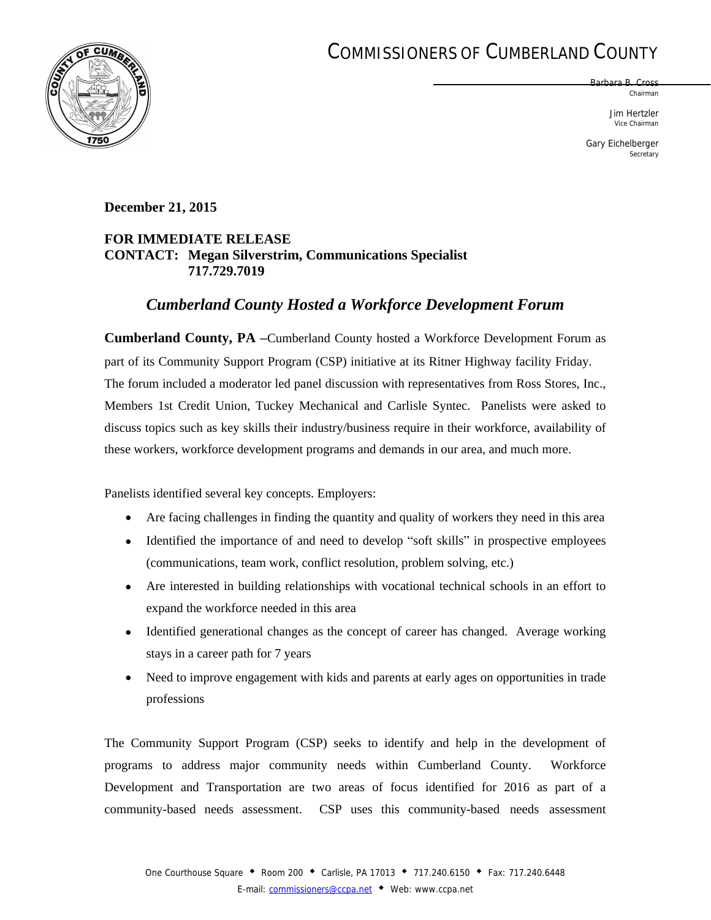## COMMISSIONERS OF CUMBERLAND COUNTY



Barbara B. Cross *Chairman*

> Jim Hertzler *Vice Chairman*

Gary Eichelberger *Secretary*

## **December 21, 2015**

## **FOR IMMEDIATE RELEASE CONTACT: Megan Silverstrim, Communications Specialist 717.729.7019**

## *Cumberland County Hosted a Workforce Development Forum*

**Cumberland County, PA –**Cumberland County hosted a Workforce Development Forum as part of its Community Support Program (CSP) initiative at its Ritner Highway facility Friday. The forum included a moderator led panel discussion with representatives from Ross Stores, Inc., Members 1st Credit Union, Tuckey Mechanical and Carlisle Syntec. Panelists were asked to discuss topics such as key skills their industry/business require in their workforce, availability of these workers, workforce development programs and demands in our area, and much more.

Panelists identified several key concepts. Employers:

- Are facing challenges in finding the quantity and quality of workers they need in this area
- Identified the importance of and need to develop "soft skills" in prospective employees (communications, team work, conflict resolution, problem solving, etc.)
- Are interested in building relationships with vocational technical schools in an effort to expand the workforce needed in this area
- Identified generational changes as the concept of career has changed. Average working stays in a career path for 7 years
- Need to improve engagement with kids and parents at early ages on opportunities in trade professions

The Community Support Program (CSP) seeks to identify and help in the development of programs to address major community needs within Cumberland County. Workforce Development and Transportation are two areas of focus identified for 2016 as part of a community-based needs assessment. CSP uses this community-based needs assessment